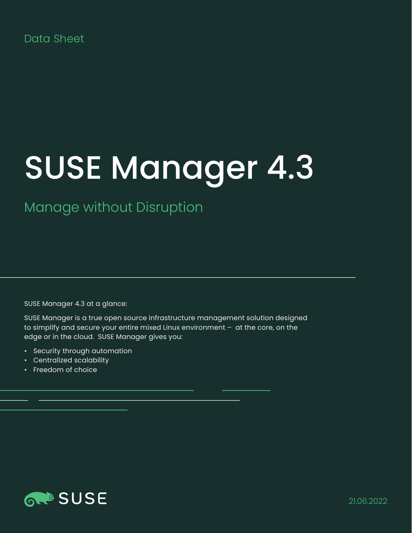## Data Sheet

# SUSE Manager 4.3

Manage without Disruption

SUSE Manager 4.3 at a glance:

SUSE Manager is a true open source infrastructure management solution designed to simplify and secure your entire mixed Linux environment – at the core, on the edge or in the cloud. SUSE Manager gives you:

- Security through automation
- Centralized scalability
- Freedom of choice

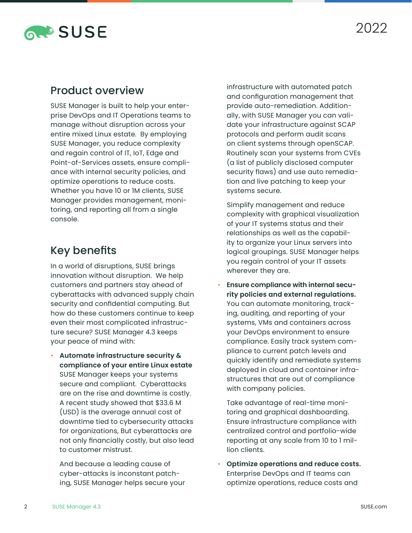

### Product overview

SUSE Manager is built to help your enterprise DevOps and IT Operations teams to manage without disruption across your entire mixed Linux estate. By employing SUSE Manager, you reduce complexity and regain control of IT, IoT, Edge and Point-of-Services assets, ensure compliance with internal security policies, and optimize operations to reduce costs. Whether you have 10 or 1M clients, SUSE Manager provides management, monitoring, and reporting all from a single console.

## Key benefits

In a world of disruptions, SUSE brings innovation without disruption. We help customers and partners stay ahead of cyberattacks with advanced supply chain security and confidential computing. But how do these customers continue to keep even their most complicated infrastructure secure? SUSE Manager 4.3 keeps your peace of mind with:

• **Automate infrastructure security & compliance of your entire Linux estate** SUSE Manager keeps your systems secure and compliant. Cyberattacks are on the rise and downtime is costly. A recent study showed that \$33.6 M (USD) is the average annual cost of downtime tied to cybersecurity attacks for organizations, But cyberattacks are not only financially costly, but also lead to customer mistrust.

And because a leading cause of cyber-attacks is inconstant patching, SUSE Manager helps secure your infrastructure with automated patch and configuration management that provide auto-remediation. Additionally, with SUSE Manager you can validate your infrastructure against SCAP protocols and perform audit scans on client systems through openSCAP. Routinely scan your systems from CVEs (a list of publicly disclosed computer security flaws) and use auto remediation and live patching to keep your systems secure.

 Simplify management and reduce complexity with graphical visualization of your IT systems status and their relationships as well as the capability to organize your Linux servers into logical groupings. SUSE Manager helps you regain control of your IT assets wherever they are.

• **Ensure compliance with internal security policies and external regulations.** You can automate monitoring, tracking, auditing, and reporting of your systems, VMs and containers across your DevOps environment to ensure compliance. Easily track system compliance to current patch levels and quickly identify and remediate systems deployed in cloud and container infrastructures that are out of compliance with company policies.

Take advantage of real-time monitoring and graphical dashboarding. Ensure infrastructure compliance with centralized control and portfolio-wide reporting at any scale from 10 to 1 million clients.

• **Optimize operations and reduce costs.** Enterprise DevOps and IT teams can optimize operations, reduce costs and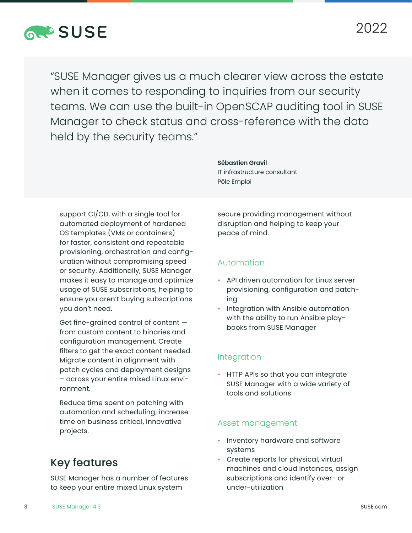

"SUSE Manager gives us a much clearer view across the estate when it comes to responding to inquiries from our security teams. We can use the built-in OpenSCAP auditing tool in SUSE Manager to check status and cross-reference with the data held by the security teams."

support CI/CD, with a single tool for automated deployment of hardened OS templates (VMs or containers) for faster, consistent and repeatable provisioning, orchestration and configuration without compromising speed or security. Additionally, SUSE Manager makes it easy to manage and optimize usage of SUSE subscriptions, helping to ensure you aren't buying subscriptions you don't need.

Get fine-grained control of content from custom content to binaries and configuration management. Create filters to get the exact content needed. Migrate content in alignment with patch cycles and deployment designs – across your entire mixed Linux environment.

Reduce time spent on patching with automation and scheduling; increase time on business critical, innovative projects.

# secure providing management without disruption and helping to keep your

# peace of mind.

#### Automation

**Sébastien Gravil**

Pôle Emploi

IT infrastructure consultant

- API driven automation for Linux server provisioning, configuration and patching
- Integration with Ansible automation with the ability to run Ansible playbooks from SUSE Manager

#### Integration

• HTTP APIs so that you can integrate SUSE Manager with a wide variety of tools and solutions

#### Asset management

- Inventory hardware and software systems
- Create reports for physical, virtual machines and cloud instances, assign subscriptions and identify over- or under-utilization

# Key features

SUSE Manager has a number of features to keep your entire mixed Linux system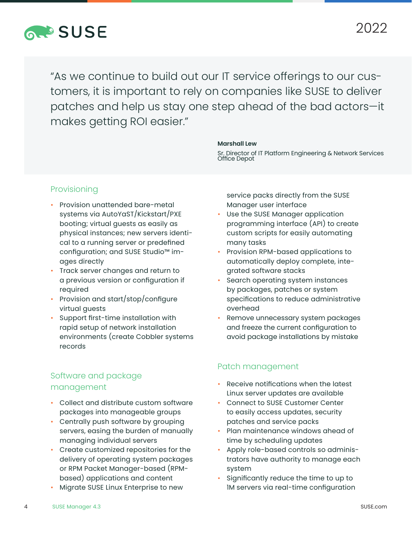# **RAPSUSE**

"As we continue to build out our IT service offerings to our customers, it is important to rely on companies like SUSE to deliver patches and help us stay one step ahead of the bad actors—it makes getting ROI easier."

#### **Marshall Lew**

Sr. Director of IT Platform Engineering & Network Services Office Depot

#### Provisioning

- Provision unattended bare-metal systems via AutoYaST/Kickstart/PXE booting; virtual guests as easily as physical instances; new servers identical to a running server or predefined configuration; and SUSE Studio™ images directly
- Track server changes and return to a previous version or configuration if required
- Provision and start/stop/configure virtual guests
- Support first-time installation with rapid setup of network installation environments (create Cobbler systems records

#### Software and package management

- Collect and distribute custom software packages into manageable groups
- Centrally push software by grouping servers, easing the burden of manually managing individual servers
- Create customized repositories for the delivery of operating system packages or RPM Packet Manager-based (RPMbased) applications and content
- Migrate SUSE Linux Enterprise to new

service packs directly from the SUSE Manager user interface

- Use the SUSE Manager application programming interface (API) to create custom scripts for easily automating many tasks
- Provision RPM-based applications to automatically deploy complete, integrated software stacks
- Search operating system instances by packages, patches or system specifications to reduce administrative overhead
- Remove unnecessary system packages and freeze the current configuration to avoid package installations by mistake

#### Patch management

- Receive notifications when the latest Linux server updates are available
- Connect to SUSE Customer Center to easily access updates, security patches and service packs
- Plan maintenance windows ahead of time by scheduling updates
- Apply role-based controls so administrators have authority to manage each system
- Significantly reduce the time to up to 1M servers via real-time configuration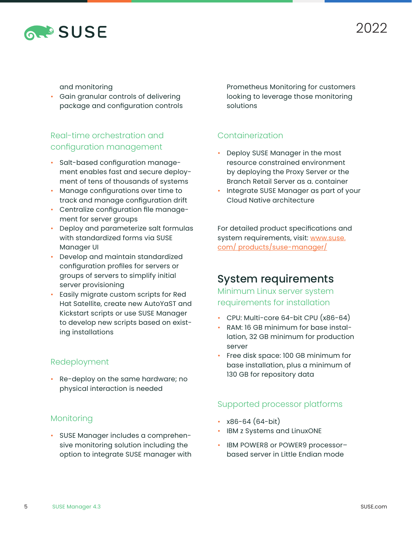

and monitoring

• Gain granular controls of delivering package and configuration controls

### Real-time orchestration and configuration management

- Salt-based configuration management enables fast and secure deployment of tens of thousands of systems
- Manage configurations over time to track and manage configuration drift
- Centralize configuration file management for server groups
- Deploy and parameterize salt formulas with standardized forms via SUSE Manager UI
- Develop and maintain standardized configuration profiles for servers or groups of servers to simplify initial server provisioning
- Easily migrate custom scripts for Red Hat Satellite, create new AutoYaST and Kickstart scripts or use SUSE Manager to develop new scripts based on existing installations

#### Redeployment

• Re-deploy on the same hardware; no physical interaction is needed

#### Monitoring

• SUSE Manager includes a comprehensive monitoring solution including the option to integrate SUSE manager with Prometheus Monitoring for customers looking to leverage those monitoring solutions

#### Containerization

- Deploy SUSE Manager in the most resource constrained environment by deploying the Proxy Server or the Branch Retail Server as a. container
- Integrate SUSE Manager as part of your Cloud Native architecture

For detailed product specifications and system requirements, visit: [www.suse.](http://www.suse.com/ products/suse-manager/) [com/ products/suse-manager/](http://www.suse.com/ products/suse-manager/)

## System requirements

Minimum Linux server system requirements for installation

- CPU: Multi-core 64-bit CPU (x86-64)
- RAM: 16 GB minimum for base installation, 32 GB minimum for production server
- Free disk space: 100 GB minimum for base installation, plus a minimum of 130 GB for repository data

#### Supported processor platforms

- x86-64 (64-bit)
- IBM z Systems and LinuxONE
- IBM POWER8 or POWER9 processorbased server in Little Endian mode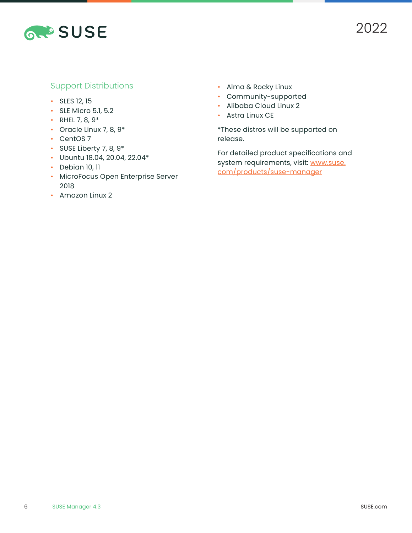

#### Support Distributions

- SLES 12, 15
- SLE Micro 5.1, 5.2
- RHEL 7, 8,  $9*$
- Oracle Linux 7, 8, 9\*
- CentOS 7
- SUSE Liberty 7, 8, 9\*
- Ubuntu 18.04, 20.04, 22.04\*
- Debian 10, 11
- MicroFocus Open Enterprise Server 2018
- Amazon Linux 2
- Alma & Rocky Linux
- Community-supported
- Alibaba Cloud Linux 2
- Astra Linux CE

\*These distros will be supported on release.

For detailed product specifications and system requirements, visit: [www.suse.](http://www.suse.com/products/suse-manager) [com/products/suse-manager](http://www.suse.com/products/suse-manager)